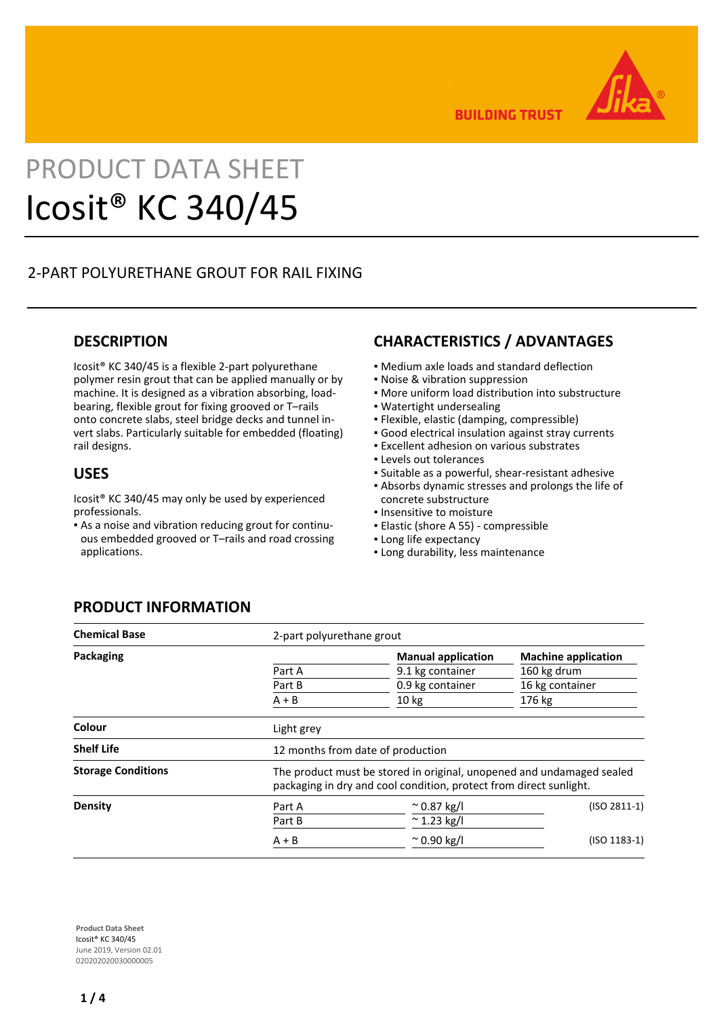

**BUILDING TRUST** 

# PRODUCT DATA SHEET Icosit® KC 340/45

# 2-PART POLYURETHANE GROUT FOR RAIL FIXING

## **DESCRIPTION**

Icosit® KC 340/45 is a flexible 2-part polyurethane polymer resin grout that can be applied manually or by machine. It is designed as a vibration absorbing, loadbearing, flexible grout for fixing grooved or T–rails onto concrete slabs, steel bridge decks and tunnel invert slabs. Particularly suitable for embedded (floating) rail designs.

### **USES**

Icosit® KC 340/45 may only be used by experienced professionals.

As a noise and vibration reducing grout for continu-▪ ous embedded grooved or T–rails and road crossing applications.

## **CHARACTERISTICS / ADVANTAGES**

- Medium axle loads and standard deflection
- Noise & vibration suppression
- More uniform load distribution into substructure
- Watertight undersealing
- Flexible, elastic (damping, compressible)
- Good electrical insulation against stray currents
- **Excellent adhesion on various substrates**
- Levels out tolerances
- Suitable as a powerful, shear-resistant adhesive
- Absorbs dynamic stresses and prolongs the life of concrete substructure
- **.** Insensitive to moisture
- Elastic (shore A 55) compressible
- **.** Long life expectancy
- **.** Long durability, less maintenance

## **PRODUCT INFORMATION**

| <b>Chemical Base</b>      | 2-part polyurethane grout                                                                                                                   |                           |                            |  |  |  |  |  |
|---------------------------|---------------------------------------------------------------------------------------------------------------------------------------------|---------------------------|----------------------------|--|--|--|--|--|
| Packaging                 |                                                                                                                                             | <b>Manual application</b> | <b>Machine application</b> |  |  |  |  |  |
|                           | Part A                                                                                                                                      | 9.1 kg container          | 160 kg drum                |  |  |  |  |  |
|                           | Part B                                                                                                                                      | 0.9 kg container          | 16 kg container            |  |  |  |  |  |
|                           | $A + B$                                                                                                                                     | 10 <sub>kg</sub>          | 176 kg                     |  |  |  |  |  |
| Colour                    | Light grey                                                                                                                                  |                           |                            |  |  |  |  |  |
| <b>Shelf Life</b>         | 12 months from date of production                                                                                                           |                           |                            |  |  |  |  |  |
| <b>Storage Conditions</b> | The product must be stored in original, unopened and undamaged sealed<br>packaging in dry and cool condition, protect from direct sunlight. |                           |                            |  |  |  |  |  |
| <b>Density</b>            | Part A                                                                                                                                      | $^{\circ}$ 0.87 kg/l      | $(ISO 2811-1)$             |  |  |  |  |  |
|                           | Part B                                                                                                                                      | $~^{\sim}$ 1.23 kg/l      |                            |  |  |  |  |  |
|                           | $A + B$                                                                                                                                     | $^{\sim}$ 0.90 kg/l       | $(ISO 1183-1)$             |  |  |  |  |  |

**Product Data Sheet** Icosit® KC 340/45 June 2019, Version 02.01 020202020030000005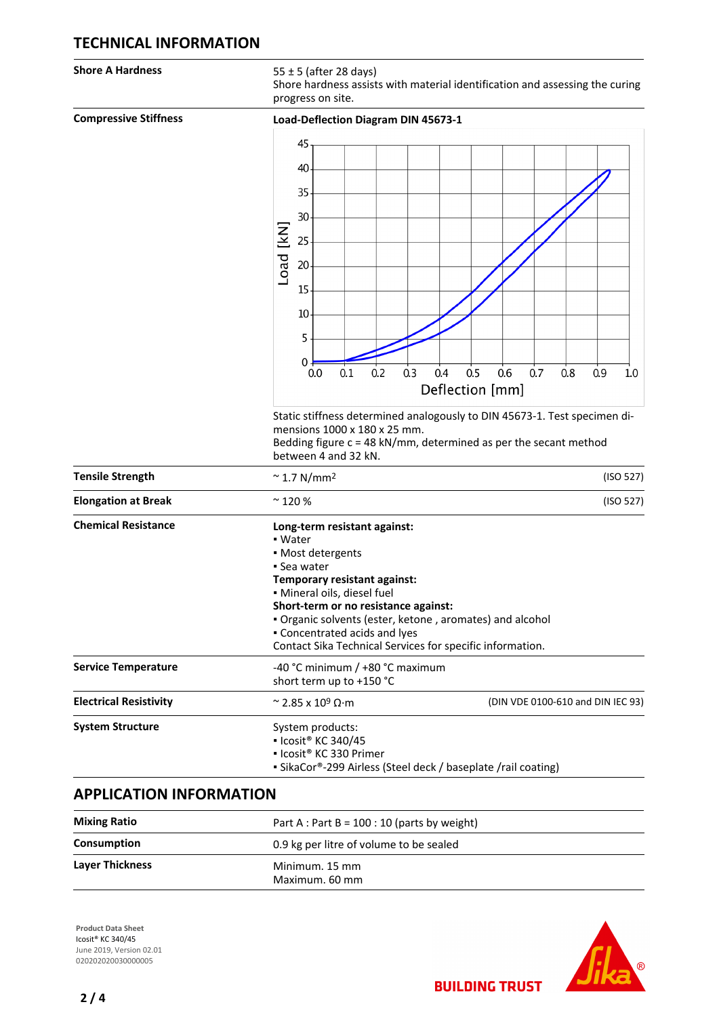## **TECHNICAL INFORMATION**

**Shore A Hardness** 55 ± 5 (after 28 days)

Shore hardness assists with material identification and assessing the curing progress on site.

| <b>Compressive Stiffness</b>  | Load-Deflection Diagram DIN 45673-1                                               |  |  |  |  |  |  |  |  |
|-------------------------------|-----------------------------------------------------------------------------------|--|--|--|--|--|--|--|--|
|                               | 45                                                                                |  |  |  |  |  |  |  |  |
|                               |                                                                                   |  |  |  |  |  |  |  |  |
|                               | 40                                                                                |  |  |  |  |  |  |  |  |
|                               | 35                                                                                |  |  |  |  |  |  |  |  |
|                               | 30                                                                                |  |  |  |  |  |  |  |  |
|                               |                                                                                   |  |  |  |  |  |  |  |  |
|                               | 25                                                                                |  |  |  |  |  |  |  |  |
|                               | Load [kN]<br>20                                                                   |  |  |  |  |  |  |  |  |
|                               | 15                                                                                |  |  |  |  |  |  |  |  |
|                               |                                                                                   |  |  |  |  |  |  |  |  |
|                               | 10                                                                                |  |  |  |  |  |  |  |  |
|                               | 5                                                                                 |  |  |  |  |  |  |  |  |
|                               | 0                                                                                 |  |  |  |  |  |  |  |  |
|                               | 0.2<br>0.3<br>0.5<br>0.6<br>0.7<br>0.1<br>0.4<br>0.8<br>0.9<br>0.0<br>$1.0\,$     |  |  |  |  |  |  |  |  |
|                               | Deflection [mm]                                                                   |  |  |  |  |  |  |  |  |
|                               | Static stiffness determined analogously to DIN 45673-1. Test specimen di-         |  |  |  |  |  |  |  |  |
|                               | mensions 1000 x 180 x 25 mm.                                                      |  |  |  |  |  |  |  |  |
|                               | Bedding figure $c = 48$ kN/mm, determined as per the secant method                |  |  |  |  |  |  |  |  |
|                               | between 4 and 32 kN.                                                              |  |  |  |  |  |  |  |  |
| <b>Tensile Strength</b>       | (ISO 527)<br>$~^{\sim}$ 1.7 N/mm <sup>2</sup>                                     |  |  |  |  |  |  |  |  |
| <b>Elongation at Break</b>    | $\sim$ 120 %<br>(ISO 527)                                                         |  |  |  |  |  |  |  |  |
| <b>Chemical Resistance</b>    | Long-term resistant against:                                                      |  |  |  |  |  |  |  |  |
|                               | • Water<br>• Most detergents                                                      |  |  |  |  |  |  |  |  |
|                               | • Sea water                                                                       |  |  |  |  |  |  |  |  |
|                               | Temporary resistant against:                                                      |  |  |  |  |  |  |  |  |
|                               | · Mineral oils, diesel fuel<br>Short-term or no resistance against:               |  |  |  |  |  |  |  |  |
|                               | . Organic solvents (ester, ketone, aromates) and alcohol                          |  |  |  |  |  |  |  |  |
|                               | • Concentrated acids and lyes                                                     |  |  |  |  |  |  |  |  |
|                               | Contact Sika Technical Services for specific information.                         |  |  |  |  |  |  |  |  |
|                               | -40 °C minimum / +80 °C maximum<br>short term up to +150 °C                       |  |  |  |  |  |  |  |  |
| <b>Electrical Resistivity</b> | (DIN VDE 0100-610 and DIN IEC 93)<br>$\approx$ 2.85 x 10 <sup>9</sup> $\Omega$ ·m |  |  |  |  |  |  |  |  |
| <b>System Structure</b>       | System products:                                                                  |  |  |  |  |  |  |  |  |
|                               | • Icosit <sup>®</sup> KC 340/45<br>· Icosit <sup>®</sup> KC 330 Primer            |  |  |  |  |  |  |  |  |
|                               | • SikaCor®-299 Airless (Steel deck / baseplate /rail coating)                     |  |  |  |  |  |  |  |  |
| <b>Service Temperature</b>    |                                                                                   |  |  |  |  |  |  |  |  |

# **APPLICATION INFORMATION**

| <b>Mixing Ratio</b>    | Part A : Part B = $100:10$ (parts by weight)<br>0.9 kg per litre of volume to be sealed |  |  |
|------------------------|-----------------------------------------------------------------------------------------|--|--|
| <b>Consumption</b>     |                                                                                         |  |  |
| <b>Layer Thickness</b> | Minimum. 15 mm<br>Maximum. 60 mm                                                        |  |  |

**Product Data Sheet** Icosit® KC 340/45 June 2019, Version 02.01 020202020030000005



**BUILDING TRUST**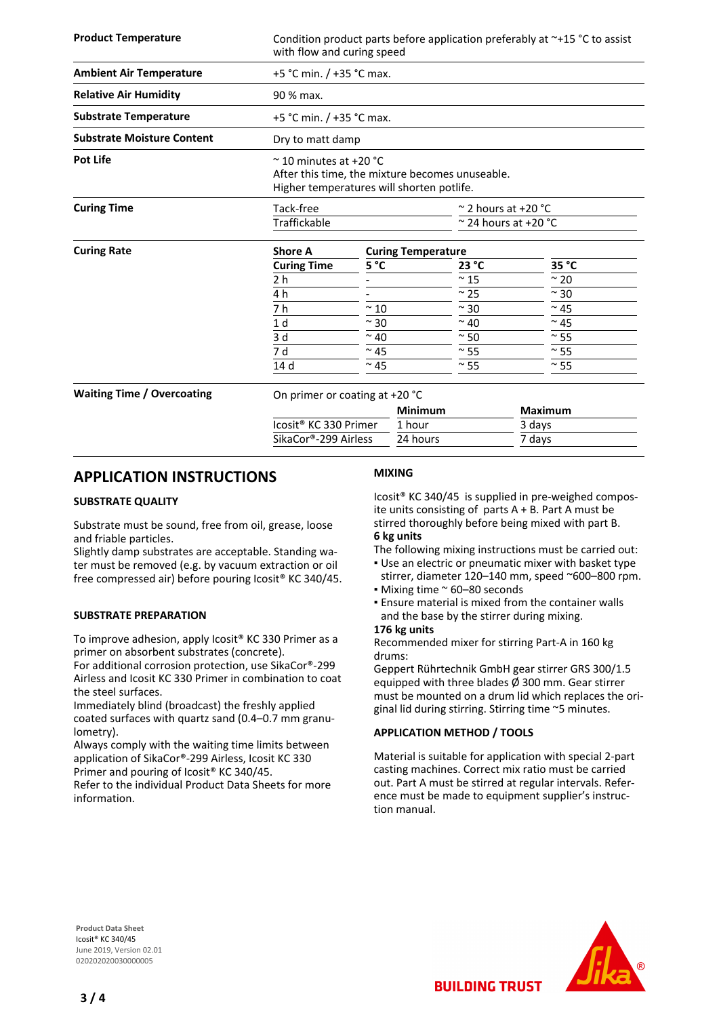| <b>Product Temperature</b>        | Condition product parts before application preferably at $\sim +15$ °C to assist<br>with flow and curing speed                 |               |                |                                      |                |  |  |  |
|-----------------------------------|--------------------------------------------------------------------------------------------------------------------------------|---------------|----------------|--------------------------------------|----------------|--|--|--|
| <b>Ambient Air Temperature</b>    | +5 °C min. / +35 °C max.                                                                                                       |               |                |                                      |                |  |  |  |
| <b>Relative Air Humidity</b>      | 90 % max.                                                                                                                      |               |                |                                      |                |  |  |  |
| <b>Substrate Temperature</b>      | +5 °C min. $/$ +35 °C max.                                                                                                     |               |                |                                      |                |  |  |  |
| <b>Substrate Moisture Content</b> | Dry to matt damp                                                                                                               |               |                |                                      |                |  |  |  |
| <b>Pot Life</b>                   | $\approx$ 10 minutes at +20 °C<br>After this time, the mixture becomes unuseable.<br>Higher temperatures will shorten potlife. |               |                |                                      |                |  |  |  |
| <b>Curing Time</b>                | Tack-free                                                                                                                      |               |                | $\approx$ 2 hours at +20 $\degree$ C |                |  |  |  |
|                                   | Traffickable                                                                                                                   |               |                | $\approx$ 24 hours at +20 °C         |                |  |  |  |
| <b>Curing Rate</b>                | <b>Shore A</b><br><b>Curing Temperature</b>                                                                                    |               |                |                                      |                |  |  |  |
|                                   | <b>Curing Time</b>                                                                                                             | 5°C           |                | 23 °C                                | 35 °C          |  |  |  |
|                                   | 2 <sub>h</sub>                                                                                                                 |               |                | $~\sim$ 15                           | $~\sim$ 20     |  |  |  |
|                                   | 4 h                                                                                                                            |               |                | $\sim$ 25                            | $~\sim$ 30     |  |  |  |
|                                   | 7 h                                                                                                                            | $~\sim$ 10    |                | $~\sim$ 30                           | $~\sim$ 45     |  |  |  |
|                                   | 1 <sub>d</sub>                                                                                                                 | $~\sim$ 30    |                | $~\sim$ 40                           | $~^{\sim}$ 45  |  |  |  |
|                                   | 3d                                                                                                                             | $~\sim$ 40    |                | $~\sim$ 50                           | $~\sim$ 55     |  |  |  |
|                                   | 7 d                                                                                                                            | $\sim$ 45     |                | $\sim$ 55                            | $\sim$ 55      |  |  |  |
|                                   | 14 <sub>d</sub>                                                                                                                | $~^{\sim}$ 45 |                | $\sim$ 55                            | $\approx$ 55   |  |  |  |
| <b>Waiting Time / Overcoating</b> | On primer or coating at +20 °C                                                                                                 |               | <b>Minimum</b> |                                      |                |  |  |  |
|                                   |                                                                                                                                |               |                |                                      | <b>Maximum</b> |  |  |  |
|                                   | Icosit <sup>®</sup> KC 330 Primer                                                                                              |               | 1 hour         |                                      | 3 days         |  |  |  |
|                                   | SikaCor®-299 Airless                                                                                                           |               | 24 hours       |                                      | 7 days         |  |  |  |

## **APPLICATION INSTRUCTIONS**

#### **SUBSTRATE QUALITY**

Substrate must be sound, free from oil, grease, loose and friable particles.

Slightly damp substrates are acceptable. Standing water must be removed (e.g. by vacuum extraction or oil free compressed air) before pouring Icosit® KC 340/45.

#### **SUBSTRATE PREPARATION**

To improve adhesion, apply Icosit® KC 330 Primer as a primer on absorbent substrates (concrete).

For additional corrosion protection, use SikaCor®-299 Airless and Icosit KC 330 Primer in combination to coat the steel surfaces.

Immediately blind (broadcast) the freshly applied coated surfaces with quartz sand (0.4–0.7 mm granulometry).

Always comply with the waiting time limits between application of SikaCor®-299 Airless, Icosit KC 330

Primer and pouring of Icosit® KC 340/45.

Refer to the individual Product Data Sheets for more information.

#### **MIXING**

Icosit® KC 340/45 is supplied in pre-weighed composite units consisting of parts  $A + B$ . Part A must be stirred thoroughly before being mixed with part B. **6 kg units**

The following mixing instructions must be carried out:

- **.** Use an electric or pneumatic mixer with basket type stirrer, diameter 120–140 mm, speed ~600–800 rpm.
- Mixing time ~ 60–80 seconds
- Ensure material is mixed from the container walls and the base by the stirrer during mixing.

#### **176 kg units**

Recommended mixer for stirring Part-A in 160 kg drums:

Geppert Rührtechnik GmbH gear stirrer GRS 300/1.5 equipped with three blades  $\overline{\phi}$  300 mm. Gear stirrer must be mounted on a drum lid which replaces the original lid during stirring. Stirring time ~5 minutes.

#### **APPLICATION METHOD / TOOLS**

Material is suitable for application with special 2-part casting machines. Correct mix ratio must be carried out. Part A must be stirred at regular intervals. Reference must be made to equipment supplier's instruction manual.

**BUILDING TRUST** 

**Product Data Sheet** Icosit® KC 340/45 June 2019, Version 02.01 020202020030000005